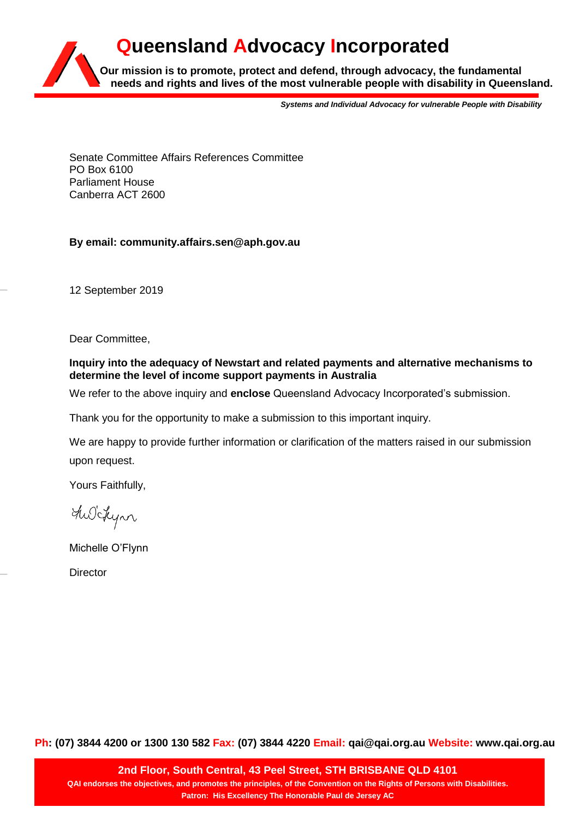

*Systems and Individual Advocacy for vulnerable People with Disability*

Senate Committee Affairs References Committee PO Box 6100 Parliament House Canberra ACT 2600

**By email: community.affairs.sen@aph.gov.au**

12 September 2019

Dear Committee,

#### **Inquiry into the adequacy of Newstart and related payments and alternative mechanisms to determine the level of income support payments in Australia**

We refer to the above inquiry and **enclose** Queensland Advocacy Incorporated's submission.

Thank you for the opportunity to make a submission to this important inquiry.

We are happy to provide further information or clarification of the matters raised in our submission upon request.

Yours Faithfully,

the Cityn

Michelle O'Flynn

**Director** 

**Ph: (07) 3844 4200 or 1300 130 582 Fax: (07) 3844 4220 Email: qai@qai.org.au Website: www.qai.org.au**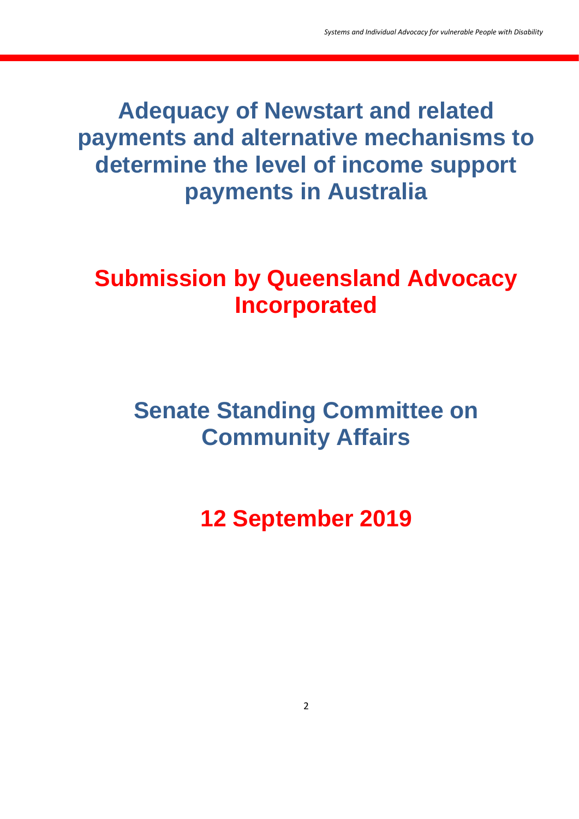# **Adequacy of Newstart and related payments and alternative mechanisms to determine the level of income support payments in Australia**

# **Submission by Queensland Advocacy Incorporated**

# **Senate Standing Committee on Community Affairs**

**12 September 2019**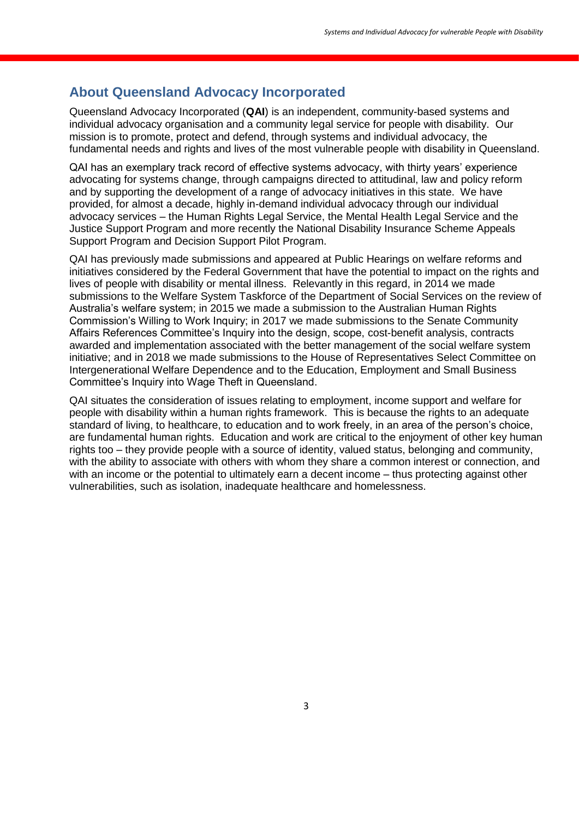### **About Queensland Advocacy Incorporated**

Queensland Advocacy Incorporated (**QAI**) is an independent, community-based systems and individual advocacy organisation and a community legal service for people with disability. Our mission is to promote, protect and defend, through systems and individual advocacy, the fundamental needs and rights and lives of the most vulnerable people with disability in Queensland.

QAI has an exemplary track record of effective systems advocacy, with thirty years' experience advocating for systems change, through campaigns directed to attitudinal, law and policy reform and by supporting the development of a range of advocacy initiatives in this state. We have provided, for almost a decade, highly in-demand individual advocacy through our individual advocacy services – the Human Rights Legal Service, the Mental Health Legal Service and the Justice Support Program and more recently the National Disability Insurance Scheme Appeals Support Program and Decision Support Pilot Program.

QAI has previously made submissions and appeared at Public Hearings on welfare reforms and initiatives considered by the Federal Government that have the potential to impact on the rights and lives of people with disability or mental illness. Relevantly in this regard, in 2014 we made submissions to the Welfare System Taskforce of the Department of Social Services on the review of Australia's welfare system; in 2015 we made a submission to the Australian Human Rights Commission's Willing to Work Inquiry; in 2017 we made submissions to the Senate Community Affairs References Committee's Inquiry into the design, scope, cost-benefit analysis, contracts awarded and implementation associated with the better management of the social welfare system initiative; and in 2018 we made submissions to the House of Representatives Select Committee on Intergenerational Welfare Dependence and to the Education, Employment and Small Business Committee's Inquiry into Wage Theft in Queensland.

QAI situates the consideration of issues relating to employment, income support and welfare for people with disability within a human rights framework. This is because the rights to an adequate standard of living, to healthcare, to education and to work freely, in an area of the person's choice, are fundamental human rights. Education and work are critical to the enjoyment of other key human rights too – they provide people with a source of identity, valued status, belonging and community, with the ability to associate with others with whom they share a common interest or connection, and with an income or the potential to ultimately earn a decent income – thus protecting against other vulnerabilities, such as isolation, inadequate healthcare and homelessness.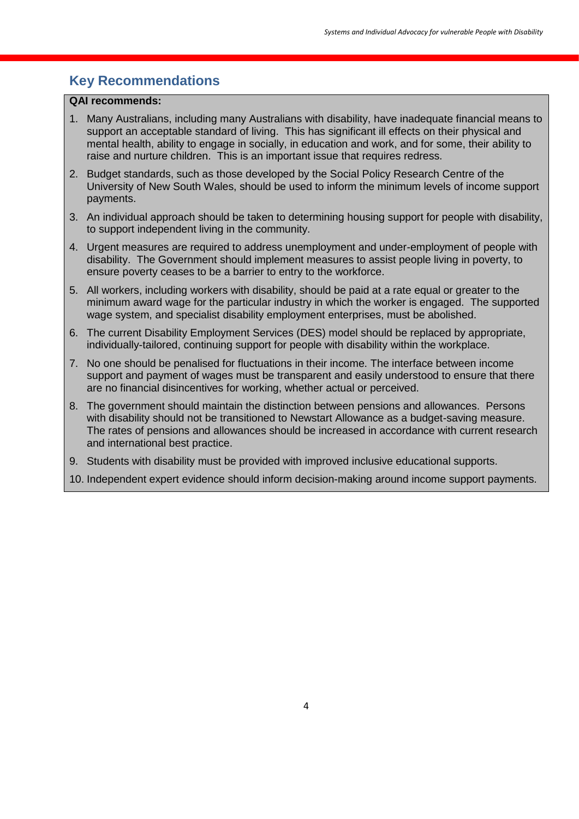## **Key Recommendations**

#### **QAI recommends:**

- 1. Many Australians, including many Australians with disability, have inadequate financial means to support an acceptable standard of living. This has significant ill effects on their physical and mental health, ability to engage in socially, in education and work, and for some, their ability to raise and nurture children. This is an important issue that requires redress.
- 2. Budget standards, such as those developed by the Social Policy Research Centre of the University of New South Wales, should be used to inform the minimum levels of income support payments.
- 3. An individual approach should be taken to determining housing support for people with disability, to support independent living in the community.
- 4. Urgent measures are required to address unemployment and under-employment of people with disability. The Government should implement measures to assist people living in poverty, to ensure poverty ceases to be a barrier to entry to the workforce.
- 5. All workers, including workers with disability, should be paid at a rate equal or greater to the minimum award wage for the particular industry in which the worker is engaged. The supported wage system, and specialist disability employment enterprises, must be abolished.
- 6. The current Disability Employment Services (DES) model should be replaced by appropriate, individually-tailored, continuing support for people with disability within the workplace.
- 7. No one should be penalised for fluctuations in their income. The interface between income support and payment of wages must be transparent and easily understood to ensure that there are no financial disincentives for working, whether actual or perceived.
- 8. The government should maintain the distinction between pensions and allowances. Persons with disability should not be transitioned to Newstart Allowance as a budget-saving measure. The rates of pensions and allowances should be increased in accordance with current research and international best practice.
- 9. Students with disability must be provided with improved inclusive educational supports.
- 10. Independent expert evidence should inform decision-making around income support payments.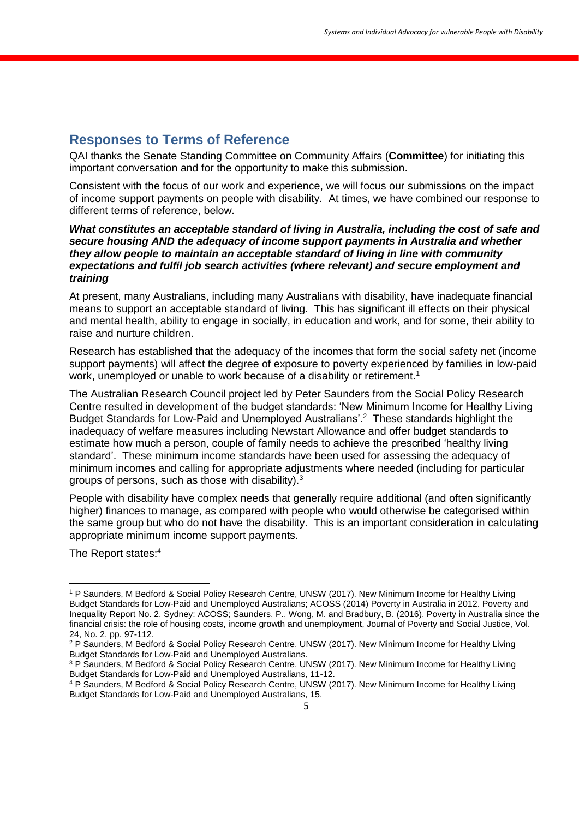### **Responses to Terms of Reference**

QAI thanks the Senate Standing Committee on Community Affairs (**Committee**) for initiating this important conversation and for the opportunity to make this submission.

Consistent with the focus of our work and experience, we will focus our submissions on the impact of income support payments on people with disability. At times, we have combined our response to different terms of reference, below.

#### *What constitutes an acceptable standard of living in Australia, including the cost of safe and secure housing AND the adequacy of income support payments in Australia and whether they allow people to maintain an acceptable standard of living in line with community expectations and fulfil job search activities (where relevant) and secure employment and training*

At present, many Australians, including many Australians with disability, have inadequate financial means to support an acceptable standard of living. This has significant ill effects on their physical and mental health, ability to engage in socially, in education and work, and for some, their ability to raise and nurture children.

Research has established that the adequacy of the incomes that form the social safety net (income support payments) will affect the degree of exposure to poverty experienced by families in low-paid work, unemployed or unable to work because of a disability or retirement.<sup>1</sup>

The Australian Research Council project led by Peter Saunders from the Social Policy Research Centre resulted in development of the budget standards: 'New Minimum Income for Healthy Living Budget Standards for Low-Paid and Unemployed Australians'.<sup>2</sup> These standards highlight the inadequacy of welfare measures including Newstart Allowance and offer budget standards to estimate how much a person, couple of family needs to achieve the prescribed 'healthy living standard'. These minimum income standards have been used for assessing the adequacy of minimum incomes and calling for appropriate adjustments where needed (including for particular groups of persons, such as those with disability).<sup>3</sup>

People with disability have complex needs that generally require additional (and often significantly higher) finances to manage, as compared with people who would otherwise be categorised within the same group but who do not have the disability. This is an important consideration in calculating appropriate minimum income support payments.

The Report states:<sup>4</sup>

<sup>1</sup> P Saunders, M Bedford & Social Policy Research Centre, UNSW (2017). New Minimum Income for Healthy Living Budget Standards for Low-Paid and Unemployed Australians; ACOSS (2014) Poverty in Australia in 2012. Poverty and Inequality Report No. 2, Sydney: ACOSS; Saunders, P., Wong, M. and Bradbury, B. (2016), Poverty in Australia since the financial crisis: the role of housing costs, income growth and unemployment, Journal of Poverty and Social Justice, Vol. 24, No. 2, pp. 97-112.

<sup>&</sup>lt;sup>2</sup> P Saunders, M Bedford & Social Policy Research Centre, UNSW (2017). New Minimum Income for Healthy Living Budget Standards for Low-Paid and Unemployed Australians.

<sup>3</sup> P Saunders, M Bedford & Social Policy Research Centre, UNSW (2017). New Minimum Income for Healthy Living Budget Standards for Low-Paid and Unemployed Australians, 11-12.

<sup>4</sup> P Saunders, M Bedford & Social Policy Research Centre, UNSW (2017). New Minimum Income for Healthy Living Budget Standards for Low-Paid and Unemployed Australians, 15.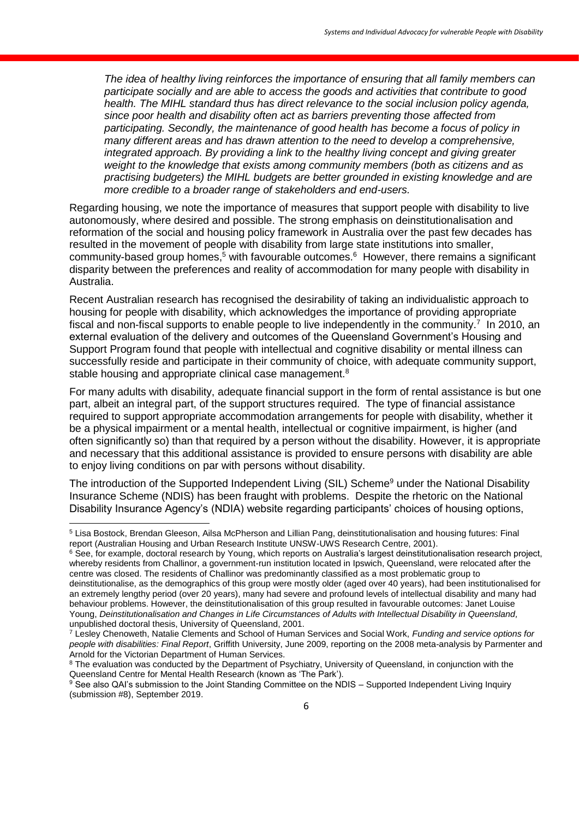*The idea of healthy living reinforces the importance of ensuring that all family members can participate socially and are able to access the goods and activities that contribute to good health. The MIHL standard thus has direct relevance to the social inclusion policy agenda, since poor health and disability often act as barriers preventing those affected from participating. Secondly, the maintenance of good health has become a focus of policy in many different areas and has drawn attention to the need to develop a comprehensive, integrated approach. By providing a link to the healthy living concept and giving greater weight to the knowledge that exists among community members (both as citizens and as practising budgeters) the MIHL budgets are better grounded in existing knowledge and are more credible to a broader range of stakeholders and end-users.*

Regarding housing, we note the importance of measures that support people with disability to live autonomously, where desired and possible. The strong emphasis on deinstitutionalisation and reformation of the social and housing policy framework in Australia over the past few decades has resulted in the movement of people with disability from large state institutions into smaller, community-based group homes,<sup>5</sup> with favourable outcomes.<sup>6</sup> However, there remains a significant disparity between the preferences and reality of accommodation for many people with disability in Australia.

Recent Australian research has recognised the desirability of taking an individualistic approach to housing for people with disability, which acknowledges the importance of providing appropriate fiscal and non-fiscal supports to enable people to live independently in the community.<sup>7</sup> In 2010, an external evaluation of the delivery and outcomes of the Queensland Government's Housing and Support Program found that people with intellectual and cognitive disability or mental illness can successfully reside and participate in their community of choice, with adequate community support, stable housing and appropriate clinical case management.<sup>8</sup>

For many adults with disability, adequate financial support in the form of rental assistance is but one part, albeit an integral part, of the support structures required. The type of financial assistance required to support appropriate accommodation arrangements for people with disability, whether it be a physical impairment or a mental health, intellectual or cognitive impairment, is higher (and often significantly so) than that required by a person without the disability. However, it is appropriate and necessary that this additional assistance is provided to ensure persons with disability are able to enjoy living conditions on par with persons without disability.

The introduction of the Supported Independent Living (SIL) Scheme<sup>9</sup> under the National Disability Insurance Scheme (NDIS) has been fraught with problems. Despite the rhetoric on the National Disability Insurance Agency's (NDIA) website regarding participants' choices of housing options,

<sup>5</sup> Lisa Bostock, Brendan Gleeson, Ailsa McPherson and Lillian Pang, deinstitutionalisation and housing futures: Final report (Australian Housing and Urban Research Institute UNSW-UWS Research Centre, 2001).

<sup>&</sup>lt;sup>6</sup> See, for example, doctoral research by Young, which reports on Australia's largest deinstitutionalisation research project, whereby residents from Challinor, a government-run institution located in Ipswich, Queensland, were relocated after the centre was closed. The residents of Challinor was predominantly classified as a most problematic group to deinstitutionalise, as the demographics of this group were mostly older (aged over 40 years), had been institutionalised for an extremely lengthy period (over 20 years), many had severe and profound levels of intellectual disability and many had behaviour problems. However, the deinstitutionalisation of this group resulted in favourable outcomes: Janet Louise Young, *Deinstitutionalisation and Changes in Life Circumstances of Adults with Intellectual Disability in Queensland,*  unpublished doctoral thesis, University of Queensland, 2001.

<sup>7</sup> Lesley Chenoweth, Natalie Clements and School of Human Services and Social Work, *Funding and service options for people with disabilities: Final Report*, Griffith University, June 2009, reporting on the 2008 meta-analysis by Parmenter and Arnold for the Victorian Department of Human Services.

<sup>&</sup>lt;sup>8</sup> The evaluation was conducted by the Department of Psychiatry, University of Queensland, in conjunction with the Queensland Centre for Mental Health Research (known as 'The Park').

<sup>9</sup> See also QAI's submission to the Joint Standing Committee on the NDIS - Supported Independent Living Inquiry (submission #8), September 2019.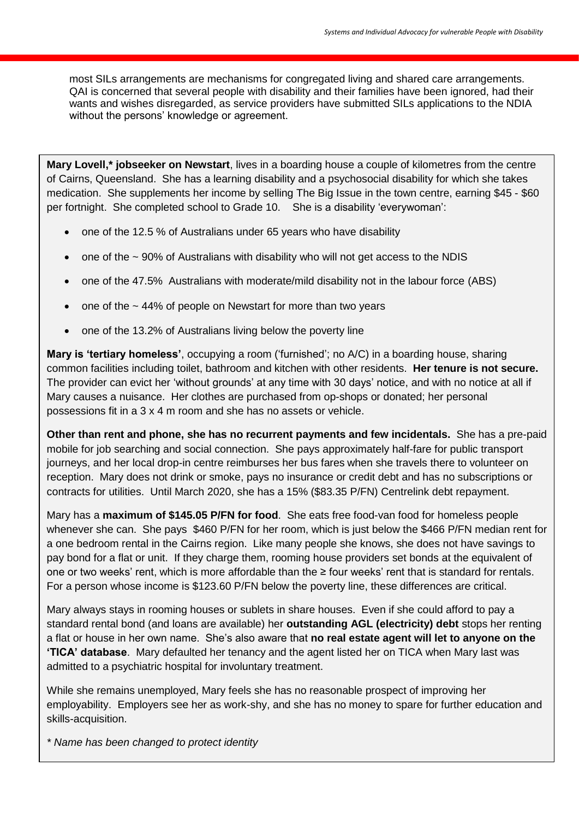most SILs arrangements are mechanisms for congregated living and shared care arrangements. QAI is concerned that several people with disability and their families have been ignored, had their wants and wishes disregarded, as service providers have submitted SILs applications to the NDIA without the persons' knowledge or agreement.

**Mary Lovell,\* jobseeker on Newstart**, lives in a boarding house a couple of kilometres from the centre of Cairns, Queensland. She has a learning disability and a psychosocial disability for which she takes medication. She supplements her income by selling The Big Issue in the town centre, earning \$45 - \$60 per fortnight. She completed school to Grade 10. She is a disability 'everywoman':

- one of the 12.5 % of Australians under 65 years who have disability
- $\bullet$  one of the  $\sim$  90% of Australians with disability who will not get access to the NDIS
- one of the 47.5% Australians with moderate/mild disability not in the labour force (ABS)
- one of the  $\sim$  44% of people on Newstart for more than two years
- one of the 13.2% of Australians living below the poverty line

**Mary is 'tertiary homeless'**, occupying a room ('furnished'; no A/C) in a boarding house, sharing common facilities including toilet, bathroom and kitchen with other residents. **Her tenure is not secure.**  The provider can evict her 'without grounds' at any time with 30 days' notice, and with no notice at all if Mary causes a nuisance. Her clothes are purchased from op-shops or donated; her personal possessions fit in a 3 x 4 m room and she has no assets or vehicle.

**Other than rent and phone, she has no recurrent payments and few incidentals.** She has a pre-paid mobile for job searching and social connection. She pays approximately half-fare for public transport journeys, and her local drop-in centre reimburses her bus fares when she travels there to volunteer on reception. Mary does not drink or smoke, pays no insurance or credit debt and has no subscriptions or contracts for utilities. Until March 2020, she has a 15% (\$83.35 P/FN) Centrelink debt repayment.

Mary has a **maximum of \$145.05 P/FN for food**. She eats free food-van food for homeless people whenever she can. She pays \$460 P/FN for her room, which is just below the \$466 P/FN median rent for a one bedroom rental in the Cairns region. Like many people she knows, she does not have savings to pay bond for a flat or unit. If they charge them, rooming house providers set bonds at the equivalent of one or two weeks' rent, which is more affordable than the ≥ four weeks' rent that is standard for rentals. For a person whose income is \$123.60 P/FN below the poverty line, these differences are critical.

Mary always stays in rooming houses or sublets in share houses. Even if she could afford to pay a standard rental bond (and loans are available) her **outstanding AGL (electricity) debt** stops her renting a flat or house in her own name. She's also aware that **no real estate agent will let to anyone on the 'TICA' database**. Mary defaulted her tenancy and the agent listed her on TICA when Mary last was admitted to a psychiatric hospital for involuntary treatment.

7 employability. Employers see her as work-shy, and she has no money to spare for further education and While she remains unemployed, Mary feels she has no reasonable prospect of improving her skills-acquisition.

*\* Name has been changed to protect identity*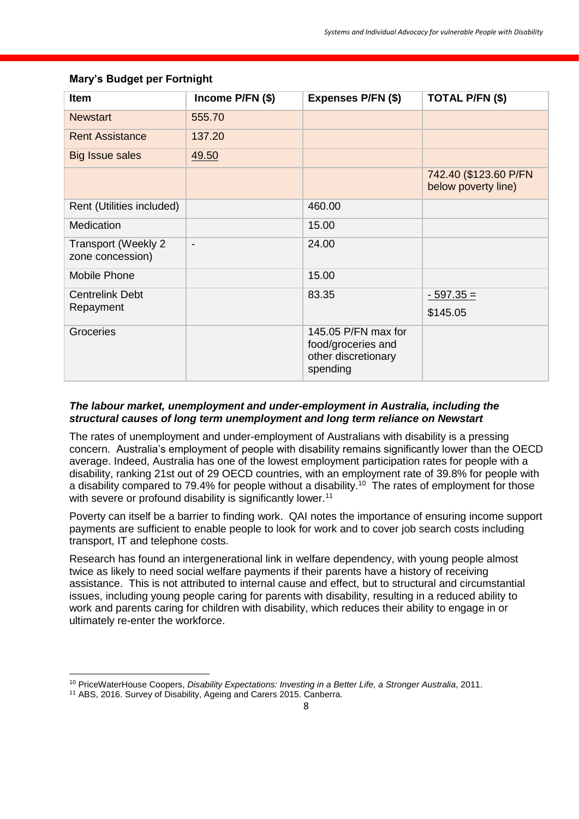| Item                                    | Income P/FN (\$)         | Expenses P/FN (\$)                                                           | TOTAL P/FN (\$)                              |
|-----------------------------------------|--------------------------|------------------------------------------------------------------------------|----------------------------------------------|
| <b>Newstart</b>                         | 555.70                   |                                                                              |                                              |
| <b>Rent Assistance</b>                  | 137.20                   |                                                                              |                                              |
| <b>Big Issue sales</b>                  | 49.50                    |                                                                              |                                              |
|                                         |                          |                                                                              | 742.40 (\$123.60 P/FN<br>below poverty line) |
| Rent (Utilities included)               |                          | 460.00                                                                       |                                              |
| Medication                              |                          | 15.00                                                                        |                                              |
| Transport (Weekly 2<br>zone concession) | $\overline{\phantom{a}}$ | 24.00                                                                        |                                              |
| Mobile Phone                            |                          | 15.00                                                                        |                                              |
| <b>Centrelink Debt</b>                  |                          | 83.35                                                                        | $-597.35=$                                   |
| Repayment                               |                          |                                                                              | \$145.05                                     |
| Groceries                               |                          | 145.05 P/FN max for<br>food/groceries and<br>other discretionary<br>spending |                                              |

#### **Mary's Budget per Fortnight**

**.** 

#### *The labour market, unemployment and under-employment in Australia, including the structural causes of long term unemployment and long term reliance on Newstart*

The rates of unemployment and under-employment of Australians with disability is a pressing concern. Australia's employment of people with disability remains significantly lower than the OECD average. Indeed, Australia has one of the lowest employment participation rates for people with a disability, ranking 21st out of 29 OECD countries, with an employment rate of 39.8% for people with a disability compared to 79.4% for people without a disability.<sup>10</sup> The rates of employment for those with severe or profound disability is significantly lower.<sup>11</sup>

Poverty can itself be a barrier to finding work. QAI notes the importance of ensuring income support payments are sufficient to enable people to look for work and to cover job search costs including transport, IT and telephone costs.

Research has found an intergenerational link in welfare dependency, with young people almost twice as likely to need social welfare payments if their parents have a history of receiving assistance. This is not attributed to internal cause and effect, but to structural and circumstantial issues, including young people caring for parents with disability, resulting in a reduced ability to work and parents caring for children with disability, which reduces their ability to engage in or ultimately re-enter the workforce.

<sup>10</sup> PriceWaterHouse Coopers, *Disability Expectations: Investing in a Better Life, a Stronger Australia*, 2011. <sup>11</sup> ABS, 2016. Survey of Disability, Ageing and Carers 2015. Canberra.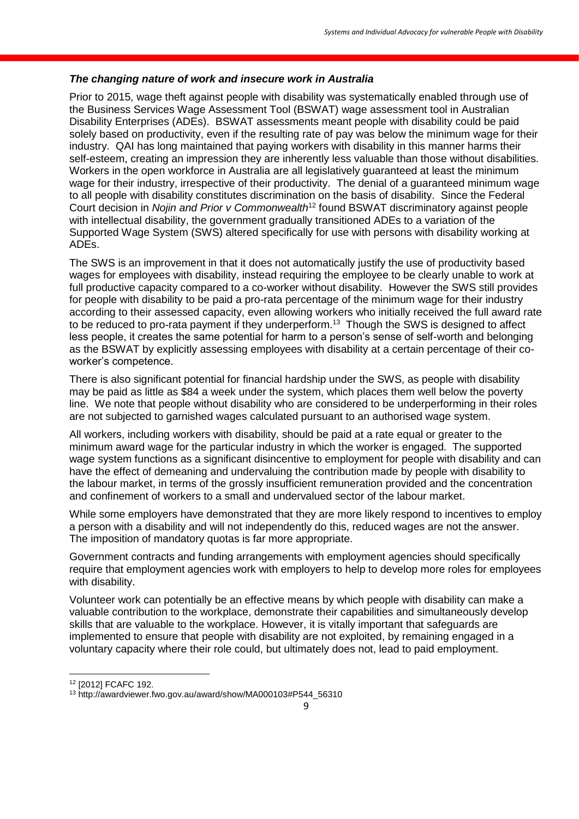#### *The changing nature of work and insecure work in Australia*

Prior to 2015, wage theft against people with disability was systematically enabled through use of the Business Services Wage Assessment Tool (BSWAT) wage assessment tool in Australian Disability Enterprises (ADEs). BSWAT assessments meant people with disability could be paid solely based on productivity, even if the resulting rate of pay was below the minimum wage for their industry. QAI has long maintained that paying workers with disability in this manner harms their self-esteem, creating an impression they are inherently less valuable than those without disabilities. Workers in the open workforce in Australia are all legislatively guaranteed at least the minimum wage for their industry, irrespective of their productivity. The denial of a guaranteed minimum wage to all people with disability constitutes discrimination on the basis of disability. Since the Federal Court decision in *Nojin and Prior v Commonwealth*<sup>12</sup> found BSWAT discriminatory against people with intellectual disability, the government gradually transitioned ADEs to a variation of the Supported Wage System (SWS) altered specifically for use with persons with disability working at ADEs.

The SWS is an improvement in that it does not automatically justify the use of productivity based wages for employees with disability, instead requiring the employee to be clearly unable to work at full productive capacity compared to a co-worker without disability. However the SWS still provides for people with disability to be paid a pro-rata percentage of the minimum wage for their industry according to their assessed capacity, even allowing workers who initially received the full award rate to be reduced to pro-rata payment if they underperform.<sup>13</sup> Though the SWS is designed to affect less people, it creates the same potential for harm to a person's sense of self-worth and belonging as the BSWAT by explicitly assessing employees with disability at a certain percentage of their coworker's competence.

There is also significant potential for financial hardship under the SWS, as people with disability may be paid as little as \$84 a week under the system, which places them well below the poverty line. We note that people without disability who are considered to be underperforming in their roles are not subjected to garnished wages calculated pursuant to an authorised wage system.

All workers, including workers with disability, should be paid at a rate equal or greater to the minimum award wage for the particular industry in which the worker is engaged. The supported wage system functions as a significant disincentive to employment for people with disability and can have the effect of demeaning and undervaluing the contribution made by people with disability to the labour market, in terms of the grossly insufficient remuneration provided and the concentration and confinement of workers to a small and undervalued sector of the labour market.

While some employers have demonstrated that they are more likely respond to incentives to employ a person with a disability and will not independently do this, reduced wages are not the answer. The imposition of mandatory quotas is far more appropriate.

Government contracts and funding arrangements with employment agencies should specifically require that employment agencies work with employers to help to develop more roles for employees with disability.

Volunteer work can potentially be an effective means by which people with disability can make a valuable contribution to the workplace, demonstrate their capabilities and simultaneously develop skills that are valuable to the workplace. However, it is vitally important that safeguards are implemented to ensure that people with disability are not exploited, by remaining engaged in a voluntary capacity where their role could, but ultimately does not, lead to paid employment.

<sup>12</sup> [2012] FCAFC 192.

<sup>13</sup> http://awardviewer.fwo.gov.au/award/show/MA000103#P544\_56310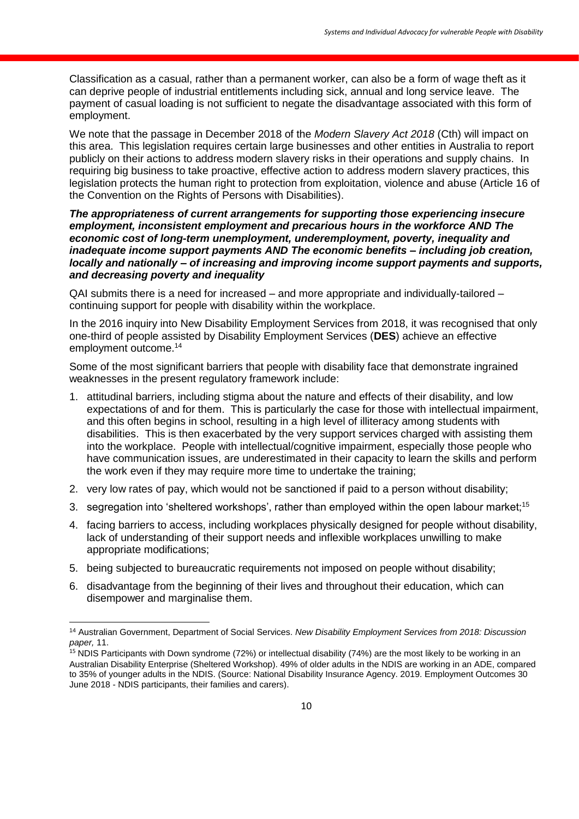Classification as a casual, rather than a permanent worker, can also be a form of wage theft as it can deprive people of industrial entitlements including sick, annual and long service leave. The payment of casual loading is not sufficient to negate the disadvantage associated with this form of employment.

We note that the passage in December 2018 of the *Modern Slavery Act 2018* (Cth) will impact on this area. This legislation requires certain large businesses and other entities in Australia to report publicly on their actions to address modern slavery risks in their operations and supply chains. In requiring big business to take proactive, effective action to address modern slavery practices, this legislation protects the human right to protection from exploitation, violence and abuse (Article 16 of the Convention on the Rights of Persons with Disabilities).

*The appropriateness of current arrangements for supporting those experiencing insecure employment, inconsistent employment and precarious hours in the workforce AND The economic cost of long-term unemployment, underemployment, poverty, inequality and inadequate income support payments AND The economic benefits – including job creation, locally and nationally – of increasing and improving income support payments and supports, and decreasing poverty and inequality*

QAI submits there is a need for increased – and more appropriate and individually-tailored – continuing support for people with disability within the workplace.

In the 2016 inquiry into New Disability Employment Services from 2018, it was recognised that only one-third of people assisted by Disability Employment Services (**DES**) achieve an effective employment outcome.<sup>14</sup>

Some of the most significant barriers that people with disability face that demonstrate ingrained weaknesses in the present regulatory framework include:

- 1. attitudinal barriers, including stigma about the nature and effects of their disability, and low expectations of and for them. This is particularly the case for those with intellectual impairment, and this often begins in school, resulting in a high level of illiteracy among students with disabilities. This is then exacerbated by the very support services charged with assisting them into the workplace. People with intellectual/cognitive impairment, especially those people who have communication issues, are underestimated in their capacity to learn the skills and perform the work even if they may require more time to undertake the training;
- 2. very low rates of pay, which would not be sanctioned if paid to a person without disability;
- 3. segregation into 'sheltered workshops', rather than employed within the open labour market;<sup>15</sup>
- 4. facing barriers to access, including workplaces physically designed for people without disability, lack of understanding of their support needs and inflexible workplaces unwilling to make appropriate modifications;
- 5. being subjected to bureaucratic requirements not imposed on people without disability;
- 6. disadvantage from the beginning of their lives and throughout their education, which can disempower and marginalise them.

<sup>14</sup> Australian Government, Department of Social Services. *New Disability Employment Services from 2018: Discussion paper,* 11.

 $15$  NDIS Participants with Down syndrome (72%) or intellectual disability (74%) are the most likely to be working in an Australian Disability Enterprise (Sheltered Workshop). 49% of older adults in the NDIS are working in an ADE, compared to 35% of younger adults in the NDIS. (Source: National Disability Insurance Agency. 2019. Employment Outcomes 30 June 2018 - NDIS participants, their families and carers).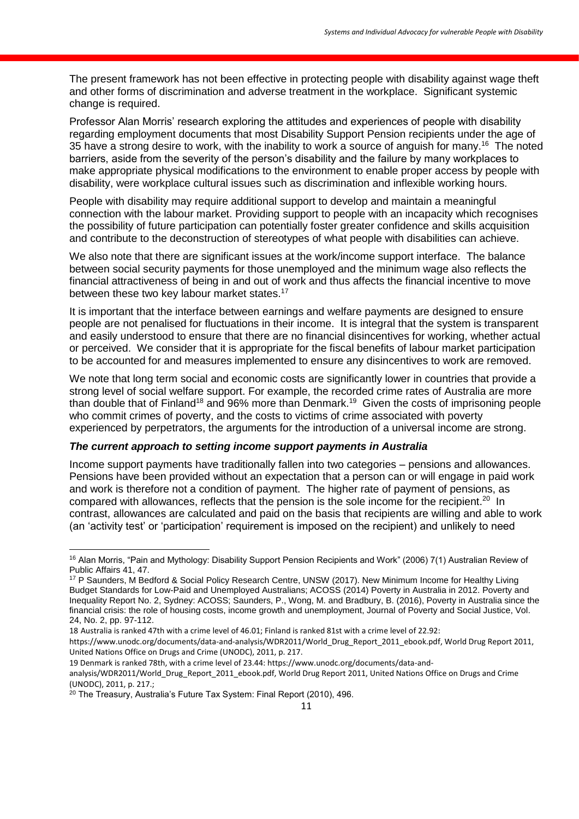The present framework has not been effective in protecting people with disability against wage theft and other forms of discrimination and adverse treatment in the workplace. Significant systemic change is required.

Professor Alan Morris' research exploring the attitudes and experiences of people with disability regarding employment documents that most Disability Support Pension recipients under the age of 35 have a strong desire to work, with the inability to work a source of anguish for many.<sup>16</sup> The noted barriers, aside from the severity of the person's disability and the failure by many workplaces to make appropriate physical modifications to the environment to enable proper access by people with disability, were workplace cultural issues such as discrimination and inflexible working hours.

People with disability may require additional support to develop and maintain a meaningful connection with the labour market. Providing support to people with an incapacity which recognises the possibility of future participation can potentially foster greater confidence and skills acquisition and contribute to the deconstruction of stereotypes of what people with disabilities can achieve.

We also note that there are significant issues at the work/income support interface. The balance between social security payments for those unemployed and the minimum wage also reflects the financial attractiveness of being in and out of work and thus affects the financial incentive to move between these two key labour market states.<sup>17</sup>

It is important that the interface between earnings and welfare payments are designed to ensure people are not penalised for fluctuations in their income. It is integral that the system is transparent and easily understood to ensure that there are no financial disincentives for working, whether actual or perceived. We consider that it is appropriate for the fiscal benefits of labour market participation to be accounted for and measures implemented to ensure any disincentives to work are removed.

We note that long term social and economic costs are significantly lower in countries that provide a strong level of social welfare support. For example, the recorded crime rates of Australia are more than double that of Finland<sup>18</sup> and 96% more than Denmark.<sup>19</sup> Given the costs of imprisoning people who commit crimes of poverty, and the costs to victims of crime associated with poverty experienced by perpetrators, the arguments for the introduction of a universal income are strong.

#### *The current approach to setting income support payments in Australia*

Income support payments have traditionally fallen into two categories – pensions and allowances. Pensions have been provided without an expectation that a person can or will engage in paid work and work is therefore not a condition of payment. The higher rate of payment of pensions, as compared with allowances, reflects that the pension is the sole income for the recipient.<sup>20</sup> In contrast, allowances are calculated and paid on the basis that recipients are willing and able to work (an 'activity test' or 'participation' requirement is imposed on the recipient) and unlikely to need

1

<sup>16</sup> Alan Morris, "Pain and Mythology: Disability Support Pension Recipients and Work" (2006) 7(1) Australian Review of Public Affairs 41, 47.

<sup>&</sup>lt;sup>17</sup> P Saunders, M Bedford & Social Policy Research Centre, UNSW (2017). New Minimum Income for Healthy Living Budget Standards for Low-Paid and Unemployed Australians; ACOSS (2014) Poverty in Australia in 2012. Poverty and Inequality Report No. 2, Sydney: ACOSS; Saunders, P., Wong, M. and Bradbury, B. (2016), Poverty in Australia since the financial crisis: the role of housing costs, income growth and unemployment, Journal of Poverty and Social Justice, Vol. 24, No. 2, pp. 97-112.

<sup>18</sup> Australia is ranked 47th with a crime level of 46.01; Finland is ranked 81st with a crime level of 22.92:

https://www.unodc.org/documents/data-and-analysis/WDR2011/World\_Drug\_Report\_2011\_ebook.pdf, World Drug Report 2011, United Nations Office on Drugs and Crime (UNODC), 2011, p. 217.

<sup>19</sup> Denmark is ranked 78th, with a crime level of 23.44: https://www.unodc.org/documents/data-and-

analysis/WDR2011/World\_Drug\_Report\_2011\_ebook.pdf, World Drug Report 2011, United Nations Office on Drugs and Crime (UNODC), 2011, p. 217.;

<sup>&</sup>lt;sup>20</sup> The Treasury, Australia's Future Tax System: Final Report (2010), 496.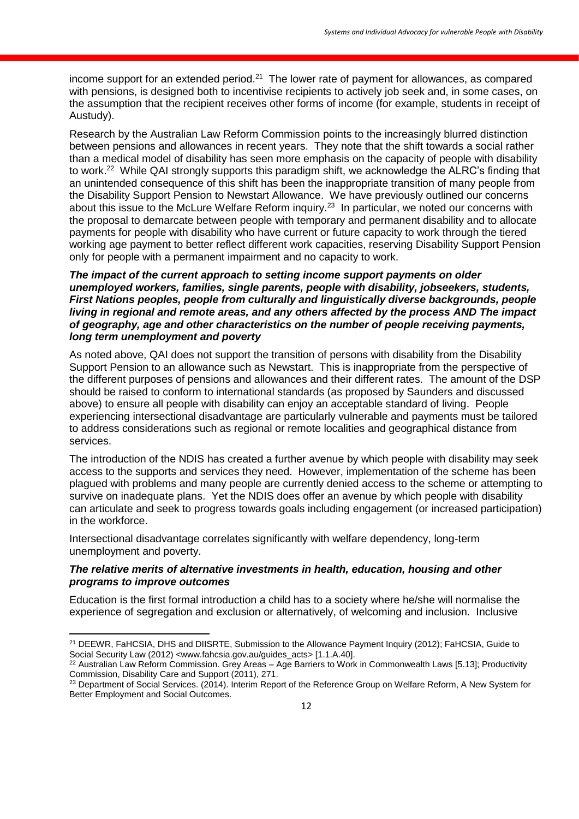income support for an extended period. $21$  The lower rate of payment for allowances, as compared with pensions, is designed both to incentivise recipients to actively job seek and, in some cases, on the assumption that the recipient receives other forms of income (for example, students in receipt of Austudy).

Research by the Australian Law Reform Commission points to the increasingly blurred distinction between pensions and allowances in recent years. They note that the shift towards a social rather than a medical model of disability has seen more emphasis on the capacity of people with disability to work.<sup>22</sup> While QAI strongly supports this paradigm shift, we acknowledge the ALRC's finding that an unintended consequence of this shift has been the inappropriate transition of many people from the Disability Support Pension to Newstart Allowance. We have previously outlined our concerns about this issue to the McLure Welfare Reform inquiry.<sup>23</sup> In particular, we noted our concerns with the proposal to demarcate between people with temporary and permanent disability and to allocate payments for people with disability who have current or future capacity to work through the tiered working age payment to better reflect different work capacities, reserving Disability Support Pension only for people with a permanent impairment and no capacity to work.

#### *The impact of the current approach to setting income support payments on older unemployed workers, families, single parents, people with disability, jobseekers, students, First Nations peoples, people from culturally and linguistically diverse backgrounds, people living in regional and remote areas, and any others affected by the process AND The impact of geography, age and other characteristics on the number of people receiving payments, long term unemployment and poverty*

As noted above, QAI does not support the transition of persons with disability from the Disability Support Pension to an allowance such as Newstart. This is inappropriate from the perspective of the different purposes of pensions and allowances and their different rates. The amount of the DSP should be raised to conform to international standards (as proposed by Saunders and discussed above) to ensure all people with disability can enjoy an acceptable standard of living. People experiencing intersectional disadvantage are particularly vulnerable and payments must be tailored to address considerations such as regional or remote localities and geographical distance from services.

The introduction of the NDIS has created a further avenue by which people with disability may seek access to the supports and services they need. However, implementation of the scheme has been plagued with problems and many people are currently denied access to the scheme or attempting to survive on inadequate plans. Yet the NDIS does offer an avenue by which people with disability can articulate and seek to progress towards goals including engagement (or increased participation) in the workforce.

Intersectional disadvantage correlates significantly with welfare dependency, long-term unemployment and poverty.

1

#### *The relative merits of alternative investments in health, education, housing and other programs to improve outcomes*

Education is the first formal introduction a child has to a society where he/she will normalise the experience of segregation and exclusion or alternatively, of welcoming and inclusion. Inclusive

<sup>&</sup>lt;sup>21</sup> DEEWR, FaHCSIA, DHS and DIISRTE, Submission to the Allowance Payment Inquiry (2012); FaHCSIA, Guide to Social Security Law (2012) <www.fahcsia.gov.au/guides\_acts> [1.1.A.40].

<sup>22</sup> Australian Law Reform Commission. Grey Areas – Age Barriers to Work in Commonwealth Laws [5.13]; Productivity Commission, Disability Care and Support (2011), 271.

<sup>&</sup>lt;sup>23</sup> Department of Social Services. (2014). Interim Report of the Reference Group on Welfare Reform, A New System for Better Employment and Social Outcomes.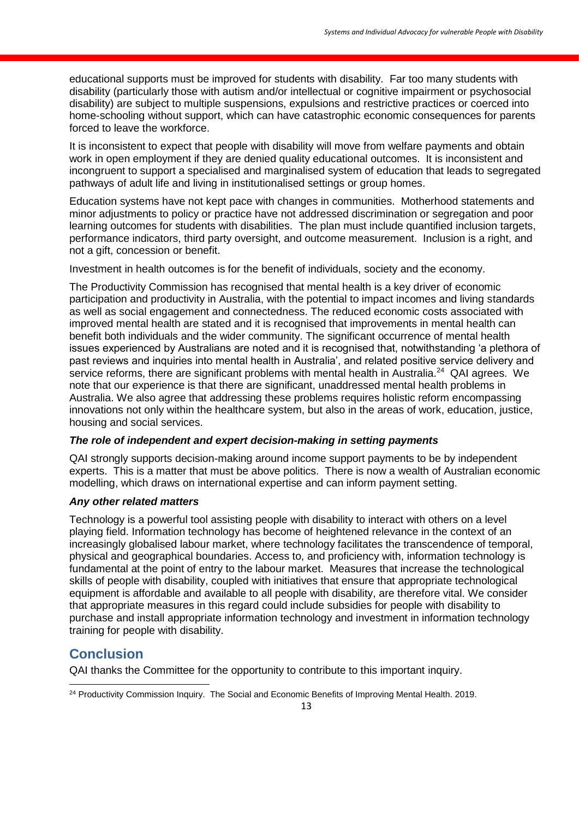educational supports must be improved for students with disability. Far too many students with disability (particularly those with autism and/or intellectual or cognitive impairment or psychosocial disability) are subject to multiple suspensions, expulsions and restrictive practices or coerced into home-schooling without support, which can have catastrophic economic consequences for parents forced to leave the workforce.

It is inconsistent to expect that people with disability will move from welfare payments and obtain work in open employment if they are denied quality educational outcomes. It is inconsistent and incongruent to support a specialised and marginalised system of education that leads to segregated pathways of adult life and living in institutionalised settings or group homes.

Education systems have not kept pace with changes in communities. Motherhood statements and minor adjustments to policy or practice have not addressed discrimination or segregation and poor learning outcomes for students with disabilities. The plan must include quantified inclusion targets, performance indicators, third party oversight, and outcome measurement. Inclusion is a right, and not a gift, concession or benefit.

Investment in health outcomes is for the benefit of individuals, society and the economy.

The Productivity Commission has recognised that mental health is a key driver of economic participation and productivity in Australia, with the potential to impact incomes and living standards as well as social engagement and connectedness. The reduced economic costs associated with improved mental health are stated and it is recognised that improvements in mental health can benefit both individuals and the wider community. The significant occurrence of mental health issues experienced by Australians are noted and it is recognised that, notwithstanding 'a plethora of past reviews and inquiries into mental health in Australia', and related positive service delivery and service reforms, there are significant problems with mental health in Australia.<sup>24</sup> QAI agrees. We note that our experience is that there are significant, unaddressed mental health problems in Australia. We also agree that addressing these problems requires holistic reform encompassing innovations not only within the healthcare system, but also in the areas of work, education, justice, housing and social services.

#### *The role of independent and expert decision-making in setting payments*

QAI strongly supports decision-making around income support payments to be by independent experts. This is a matter that must be above politics. There is now a wealth of Australian economic modelling, which draws on international expertise and can inform payment setting.

#### *Any other related matters*

Technology is a powerful tool assisting people with disability to interact with others on a level playing field. Information technology has become of heightened relevance in the context of an increasingly globalised labour market, where technology facilitates the transcendence of temporal, physical and geographical boundaries. Access to, and proficiency with, information technology is fundamental at the point of entry to the labour market. Measures that increase the technological skills of people with disability, coupled with initiatives that ensure that appropriate technological equipment is affordable and available to all people with disability, are therefore vital. We consider that appropriate measures in this regard could include subsidies for people with disability to purchase and install appropriate information technology and investment in information technology training for people with disability.

### **Conclusion**

QAI thanks the Committee for the opportunity to contribute to this important inquiry.

 $\overline{\phantom{a}}$ <sup>24</sup> Productivity Commission Inquiry. The Social and Economic Benefits of Improving Mental Health. 2019.